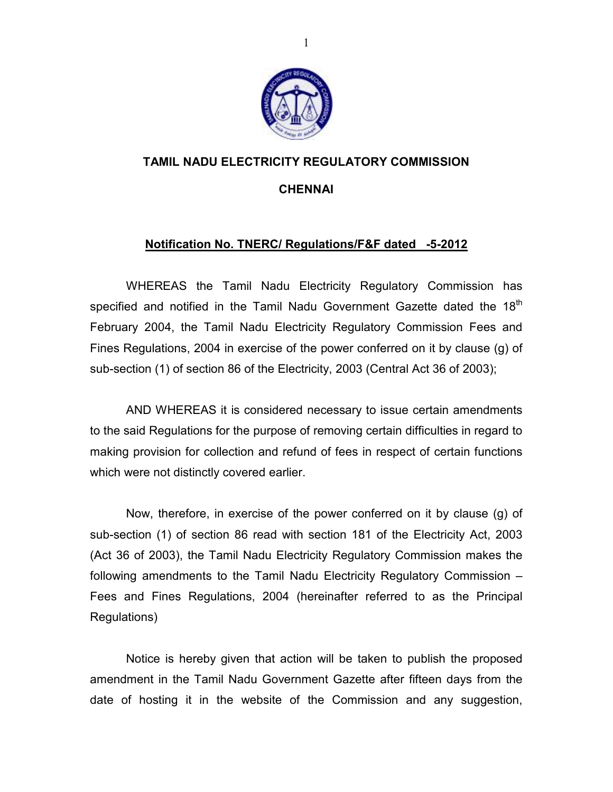

### TAMIL NADU ELECTRICITY REGULATORY COMMISSION

#### CHENNAI

#### Notification No. TNERC/ Regulations/F&F dated -5-2012

 WHEREAS the Tamil Nadu Electricity Regulatory Commission has specified and notified in the Tamil Nadu Government Gazette dated the  $18<sup>th</sup>$ February 2004, the Tamil Nadu Electricity Regulatory Commission Fees and Fines Regulations, 2004 in exercise of the power conferred on it by clause (g) of sub-section (1) of section 86 of the Electricity, 2003 (Central Act 36 of 2003);

 AND WHEREAS it is considered necessary to issue certain amendments to the said Regulations for the purpose of removing certain difficulties in regard to making provision for collection and refund of fees in respect of certain functions which were not distinctly covered earlier.

 Now, therefore, in exercise of the power conferred on it by clause (g) of sub-section (1) of section 86 read with section 181 of the Electricity Act, 2003 (Act 36 of 2003), the Tamil Nadu Electricity Regulatory Commission makes the following amendments to the Tamil Nadu Electricity Regulatory Commission – Fees and Fines Regulations, 2004 (hereinafter referred to as the Principal Regulations)

 Notice is hereby given that action will be taken to publish the proposed amendment in the Tamil Nadu Government Gazette after fifteen days from the date of hosting it in the website of the Commission and any suggestion,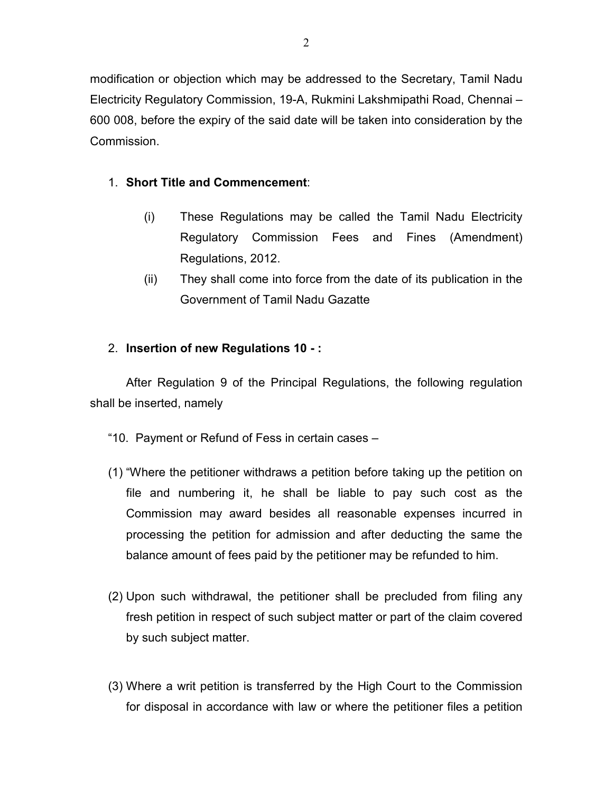modification or objection which may be addressed to the Secretary, Tamil Nadu Electricity Regulatory Commission, 19-A, Rukmini Lakshmipathi Road, Chennai – 600 008, before the expiry of the said date will be taken into consideration by the Commission.

## 1. Short Title and Commencement:

- (i) These Regulations may be called the Tamil Nadu Electricity Regulatory Commission Fees and Fines (Amendment) Regulations, 2012.
- (ii) They shall come into force from the date of its publication in the Government of Tamil Nadu Gazatte

# 2. Insertion of new Regulations 10 - :

After Regulation 9 of the Principal Regulations, the following regulation shall be inserted, namely

- "10. Payment or Refund of Fess in certain cases –
- (1) "Where the petitioner withdraws a petition before taking up the petition on file and numbering it, he shall be liable to pay such cost as the Commission may award besides all reasonable expenses incurred in processing the petition for admission and after deducting the same the balance amount of fees paid by the petitioner may be refunded to him.
- (2) Upon such withdrawal, the petitioner shall be precluded from filing any fresh petition in respect of such subject matter or part of the claim covered by such subject matter.
- (3) Where a writ petition is transferred by the High Court to the Commission for disposal in accordance with law or where the petitioner files a petition